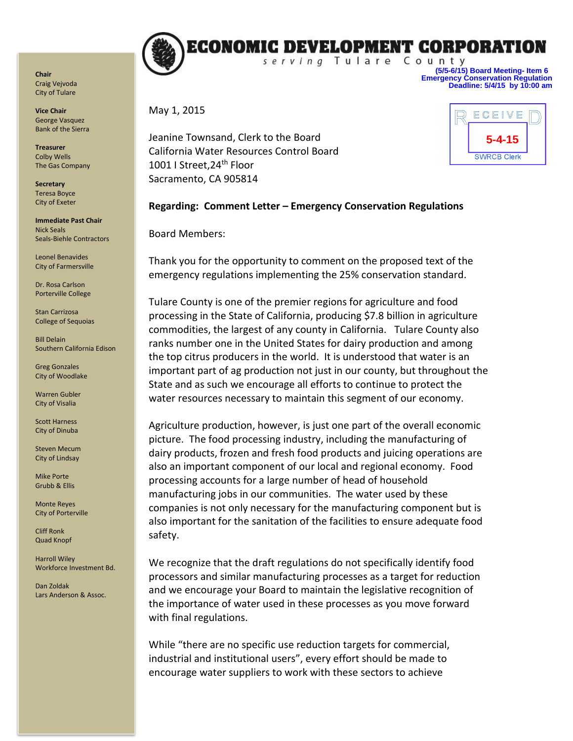

**Vice Chair** George Vasquez Bank of the Sierra

**Treasurer** Colby Wells The Gas Company

**Secretary** Teresa Boyce City of Exeter

**Immediate Past Chair** Nick Seals Seals-Biehle Contractors

Leonel Benavides City of Farmersville

Dr. Rosa Carlson Porterville College

Stan Carrizosa College of Sequoias

Bill Delain Southern California Edison

Greg Gonzales City of Woodlake

Warren Gubler City of Visalia

Scott Harness City of Dinuba

Steven Mecum City of Lindsay

Mike Porte Grubb & Ellis

Monte Reyes City of Porterville

Cliff Ronk Quad Knopf

Harroll Wiley Workforce Investment Bd.

Dan Zoldak Lars Anderson & Assoc.



**(5/5-6/15) Board Meeting- Item 6 Emergency Conservation Regulation Deadline: 5/4/15 by 10:00 am**

May 1, 2015

Jeanine Townsand, Clerk to the Board California Water Resources Control Board 1001 I Street, 24<sup>th</sup> Floor Sacramento, CA 905814



## **Regarding: Comment Letter – Emergency Conservation Regulations**

Board Members:

Thank you for the opportunity to comment on the proposed text of the emergency regulations implementing the 25% conservation standard.

Tulare County is one of the premier regions for agriculture and food processing in the State of California, producing \$7.8 billion in agriculture commodities, the largest of any county in California. Tulare County also ranks number one in the United States for dairy production and among the top citrus producers in the world. It is understood that water is an important part of ag production not just in our county, but throughout the State and as such we encourage all efforts to continue to protect the water resources necessary to maintain this segment of our economy.

Agriculture production, however, is just one part of the overall economic picture. The food processing industry, including the manufacturing of dairy products, frozen and fresh food products and juicing operations are also an important component of our local and regional economy. Food processing accounts for a large number of head of household manufacturing jobs in our communities. The water used by these companies is not only necessary for the manufacturing component but is also important for the sanitation of the facilities to ensure adequate food safety.

We recognize that the draft regulations do not specifically identify food processors and similar manufacturing processes as a target for reduction and we encourage your Board to maintain the legislative recognition of the importance of water used in these processes as you move forward with final regulations.

While "there are no specific use reduction targets for commercial, industrial and institutional users", every effort should be made to encourage water suppliers to work with these sectors to achieve